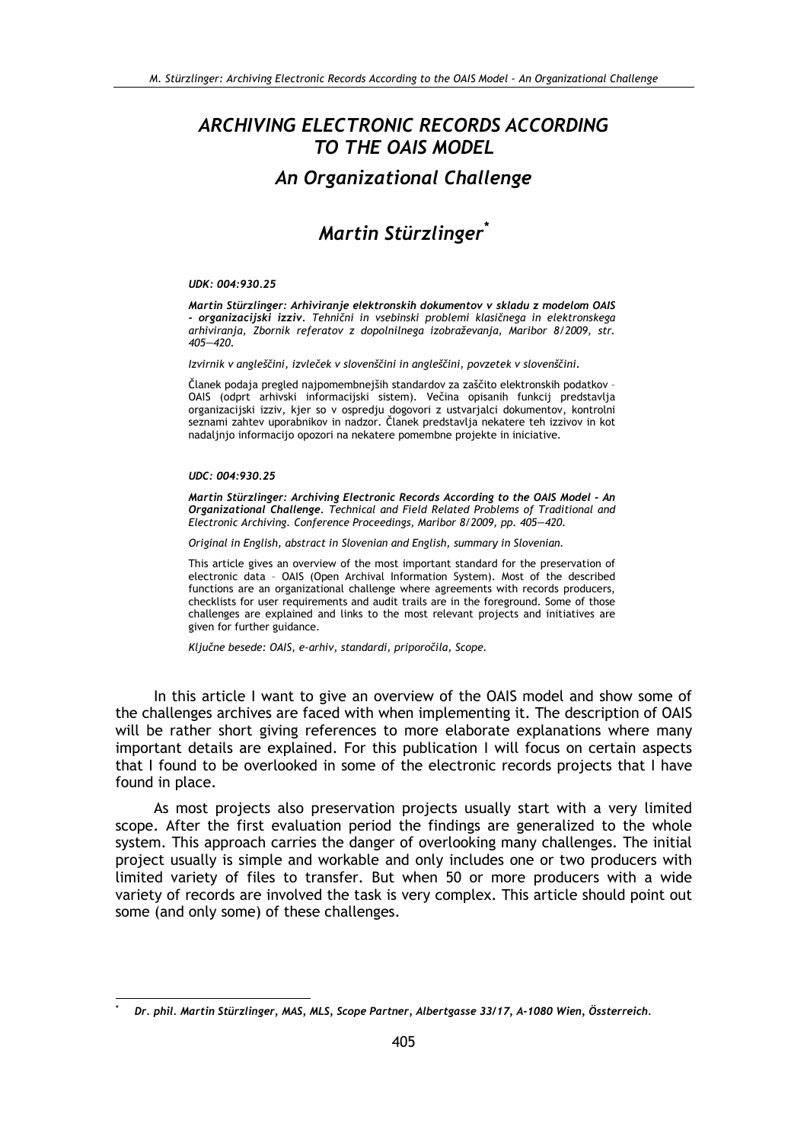# ARCHIVING ELECTRONIC RECORDS ACCORDING TO THE OAIS MODEL **An Organizational Challenge**

# Martin Stürzlinger<sup>\*</sup>

#### UDK: 004:930.25

Martin Stürzlinger: Arhiviranje elektronskih dokumentov v skladu z modelom OAIS - organizacijski izziv. Tehnični in vsebinski problemi klasičnega in elektronskega arhiviranja, Zbornik referatov z dopolnilnega izobraževanja, Maribor 8/2009, str.  $405 - 420$ .

Izvirnik v angleščini, izvleček v slovenščini in angleščini, povzetek v slovenščini.

Članek podaja pregled najpomembnejših standardov za zaščito elektronskih podatkov -OAIS (odprt arhivski informacijski sistem). Večina opisanih funkcij predstavlja organizacijski izziv, kjer so v ospredju dogovori z ustvarjalci dokumentov, kontrolni seznami zahtev uporabnikov in nadzor. Članek predstavlja nekatere teh izzivov in kot nadaljnjo informacijo opozori na nekatere pomembne projekte in iniciative.

#### UDC: 004:930.25

Martin Stürzlinger: Archiving Electronic Records According to the OAIS Model - An Organizational Challenge. Technical and Field Related Problems of Traditional and Electronic Archiving. Conference Proceedings, Maribor 8/2009, pp. 405-420.

Original in English, abstract in Slovenian and English, summary in Slovenian.

This article gives an overview of the most important standard for the preservation of electronic data - OAIS (Open Archival Information System). Most of the described functions are an organizational challenge where agreements with records producers, checklists for user requirements and audit trails are in the foreground. Some of those challenges are explained and links to the most relevant projects and initiatives are given for further guidance.

Ključne besede: OAIS, e-arhiv, standardi, priporočila, Scope.

In this article I want to give an overview of the OAIS model and show some of the challenges archives are faced with when implementing it. The description of OAIS will be rather short giving references to more elaborate explanations where many important details are explained. For this publication I will focus on certain aspects that I found to be overlooked in some of the electronic records projects that I have found in place.

As most projects also preservation projects usually start with a very limited scope. After the first evaluation period the findings are generalized to the whole system. This approach carries the danger of overlooking many challenges. The initial project usually is simple and workable and only includes one or two producers with limited variety of files to transfer. But when 50 or more producers with a wide variety of records are involved the task is very complex. This article should point out some (and only some) of these challenges.

Dr. phil. Martin Stürzlinger, MAS, MLS, Scope Partner, Albertgasse 33/17, A-1080 Wien, Össterreich.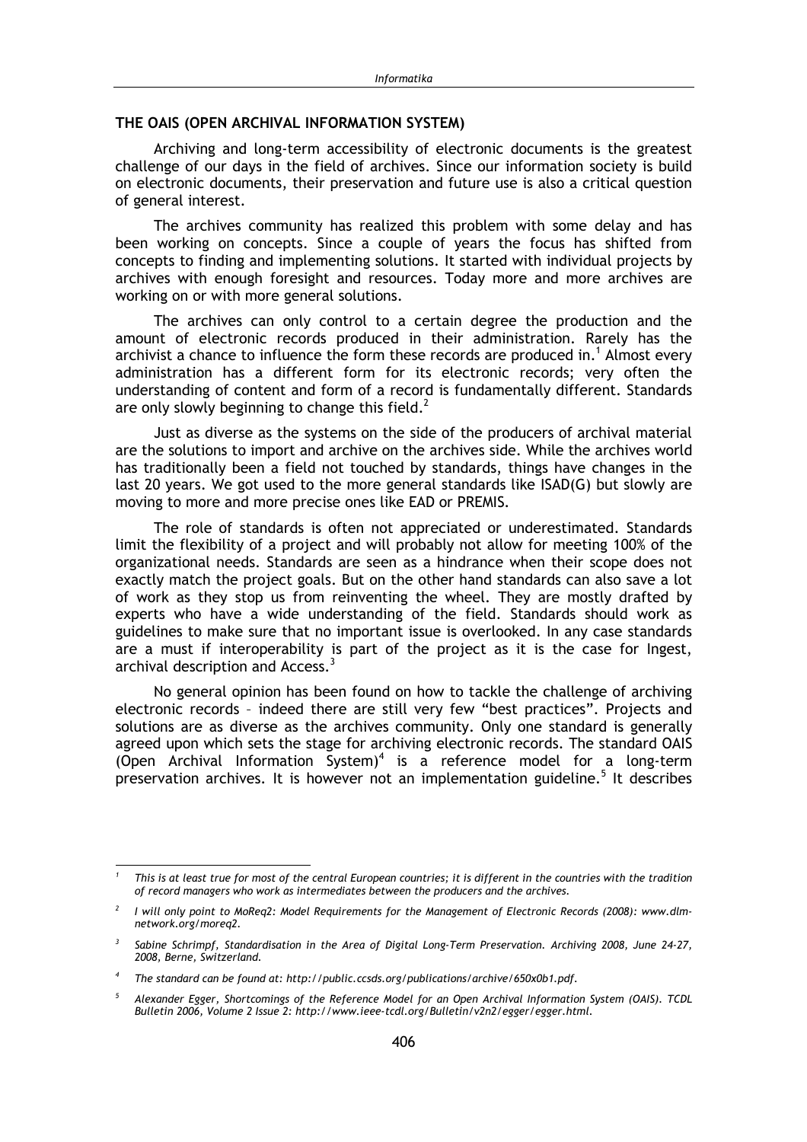#### THE OAIS (OPEN ARCHIVAL INFORMATION SYSTEM)

Archiving and long-term accessibility of electronic documents is the greatest challenge of our days in the field of archives. Since our information society is build on electronic documents, their preservation and future use is also a critical question of general interest.

The archives community has realized this problem with some delay and has been working on concepts. Since a couple of years the focus has shifted from concepts to finding and implementing solutions. It started with individual projects by archives with enough foresight and resources. Today more and more archives are working on or with more general solutions.

The archives can only control to a certain degree the production and the amount of electronic records produced in their administration. Rarely has the archivist a chance to influence the form these records are produced in.<sup>1</sup> Almost every administration has a different form for its electronic records; very often the understanding of content and form of a record is fundamentally different. Standards are only slowly beginning to change this field. $<sup>2</sup>$ </sup>

Just as diverse as the systems on the side of the producers of archival material are the solutions to import and archive on the archives side. While the archives world has traditionally been a field not touched by standards, things have changes in the last 20 years. We got used to the more general standards like ISAD(G) but slowly are moving to more and more precise ones like EAD or PREMIS.

The role of standards is often not appreciated or underestimated. Standards limit the flexibility of a project and will probably not allow for meeting 100% of the organizational needs. Standards are seen as a hindrance when their scope does not exactly match the project goals. But on the other hand standards can also save a lot of work as they stop us from reinventing the wheel. They are mostly drafted by experts who have a wide understanding of the field. Standards should work as guidelines to make sure that no important issue is overlooked. In any case standards are a must if interoperability is part of the project as it is the case for Ingest, archival description and Access.<sup>3</sup>

No general opinion has been found on how to tackle the challenge of archiving electronic records - indeed there are still very few "best practices". Projects and solutions are as diverse as the archives community. Only one standard is generally agreed upon which sets the stage for archiving electronic records. The standard OAIS (Open Archival Information System)<sup>4</sup> is a reference model for a long-term preservation archives. It is however not an implementation guideline.<sup>5</sup> It describes

This is at least true for most of the central European countries; it is different in the countries with the tradition of record managers who work as intermediates between the producers and the archives.

I will only point to MoReq2: Model Requirements for the Management of Electronic Records (2008): www.dlmnetwork.org/moreq2.

Sabine Schrimpf, Standardisation in the Area of Digital Long-Term Preservation. Archiving 2008, June 24-27, 2008, Berne, Switzerland.

The standard can be found at: http://public.ccsds.org/publications/archive/650x0b1.pdf.

 $5^{\circ}$ Alexander Egger, Shortcomings of the Reference Model for an Open Archival Information System (OAIS). TCDL Bulletin 2006, Volume 2 Issue 2: http://www.ieee-tcdl.org/Bulletin/v2n2/egger/egger.html.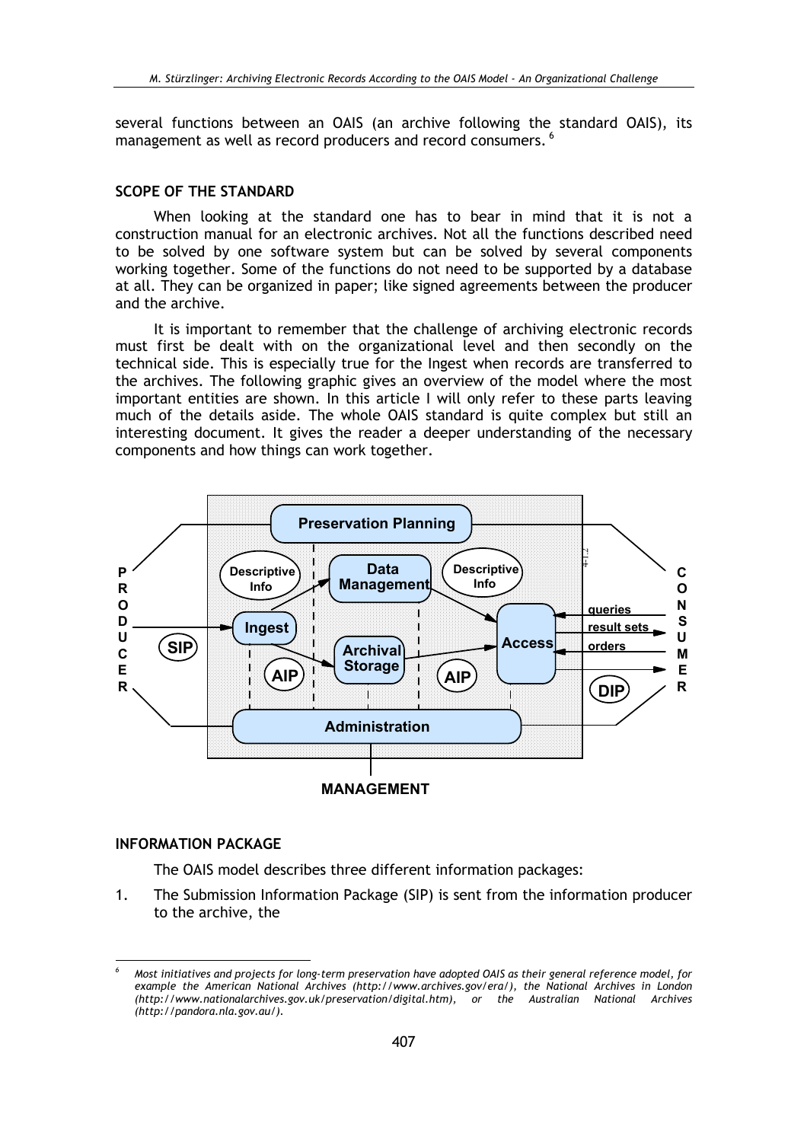several functions between an OAIS (an archive following the standard OAIS), its management as well as record producers and record consumers. <sup>6</sup>

#### SCOPE OF THE STANDARD

When looking at the standard one has to bear in mind that it is not a construction manual for an electronic archives. Not all the functions described need to be solved by one software system but can be solved by several components working together. Some of the functions do not need to be supported by a database at all. They can be organized in paper; like signed agreements between the producer and the archive.

It is important to remember that the challenge of archiving electronic records must first be dealt with on the organizational level and then secondly on the technical side. This is especially true for the Ingest when records are transferred to the archives. The following graphic gives an overview of the model where the most important entities are shown. In this article I will only refer to these parts leaving much of the details aside. The whole OAIS standard is quite complex but still an interesting document. It gives the reader a deeper understanding of the necessary components and how things can work together.



# **INFORMATION PACKAGE**

The OAIS model describes three different information packages:

 $1<sub>1</sub>$ The Submission Information Package (SIP) is sent from the information producer to the archive, the

Most initiatives and projects for long-term preservation have adopted OAIS as their general reference model, for example the American National Archives (http://www.archives.gov/era/), the National Archives in London (http://www.nationalarchives.gov.uk/preservation/digital.htm), or the Australian National Archives (http://pandora.nla.gov.au/).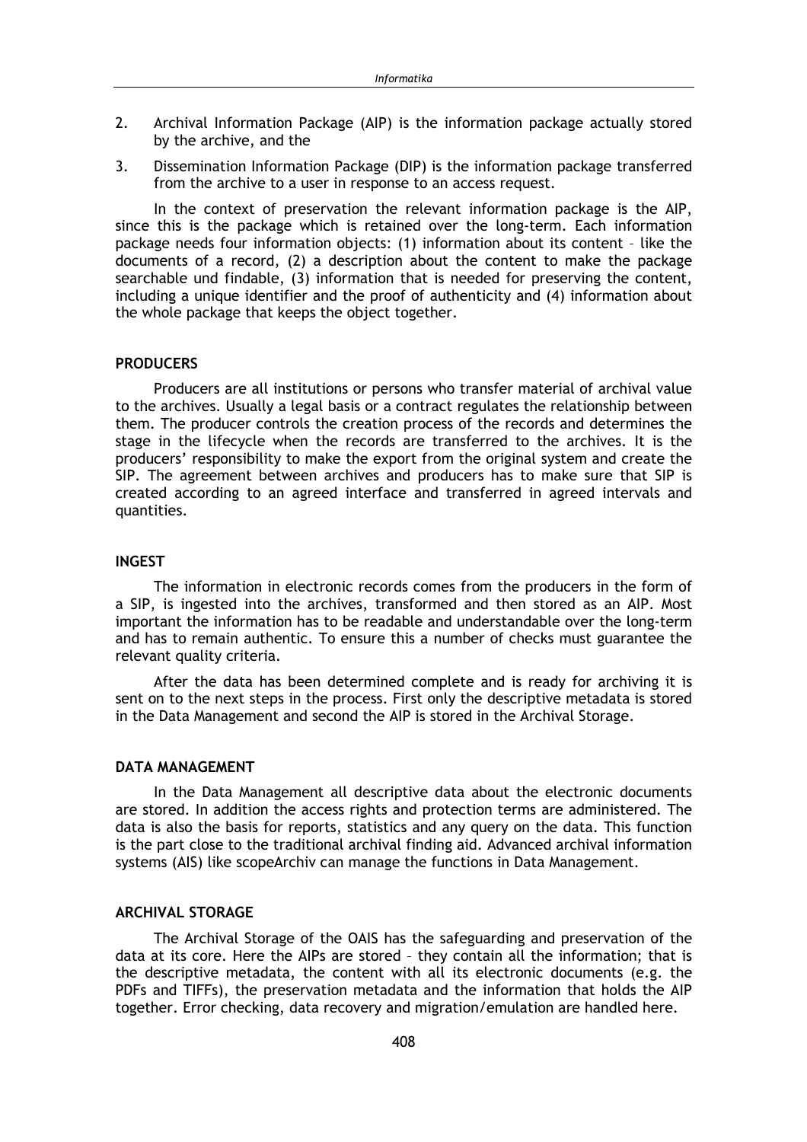- Archival Information Package (AIP) is the information package actually stored  $\overline{2}$ by the archive, and the
- Dissemination Information Package (DIP) is the information package transferred 3. from the archive to a user in response to an access request.

In the context of preservation the relevant information package is the AIP. since this is the package which is retained over the long-term. Each information package needs four information objects: (1) information about its content - like the documents of a record, (2) a description about the content to make the package searchable und findable, (3) information that is needed for preserving the content, including a unique identifier and the proof of authenticity and (4) information about the whole package that keeps the object together.

# **PRODUCERS**

Producers are all institutions or persons who transfer material of archival value to the archives. Usually a legal basis or a contract regulates the relationship between them. The producer controls the creation process of the records and determines the stage in the lifecycle when the records are transferred to the archives. It is the producers' responsibility to make the export from the original system and create the SIP. The agreement between archives and producers has to make sure that SIP is created according to an agreed interface and transferred in agreed intervals and quantities.

# **INGEST**

The information in electronic records comes from the producers in the form of a SIP, is ingested into the archives, transformed and then stored as an AIP. Most important the information has to be readable and understandable over the long-term and has to remain authentic. To ensure this a number of checks must guarantee the relevant quality criteria.

After the data has been determined complete and is ready for archiving it is sent on to the next steps in the process. First only the descriptive metadata is stored in the Data Management and second the AIP is stored in the Archival Storage.

### **DATA MANAGEMENT**

In the Data Management all descriptive data about the electronic documents are stored. In addition the access rights and protection terms are administered. The data is also the basis for reports, statistics and any query on the data. This function is the part close to the traditional archival finding aid. Advanced archival information systems (AIS) like scopeArchiv can manage the functions in Data Management.

# **ARCHIVAL STORAGE**

The Archival Storage of the OAIS has the safeguarding and preservation of the data at its core. Here the AIPs are stored - they contain all the information; that is the descriptive metadata, the content with all its electronic documents (e.g. the PDFs and TIFFs), the preservation metadata and the information that holds the AIP together. Error checking, data recovery and migration/emulation are handled here.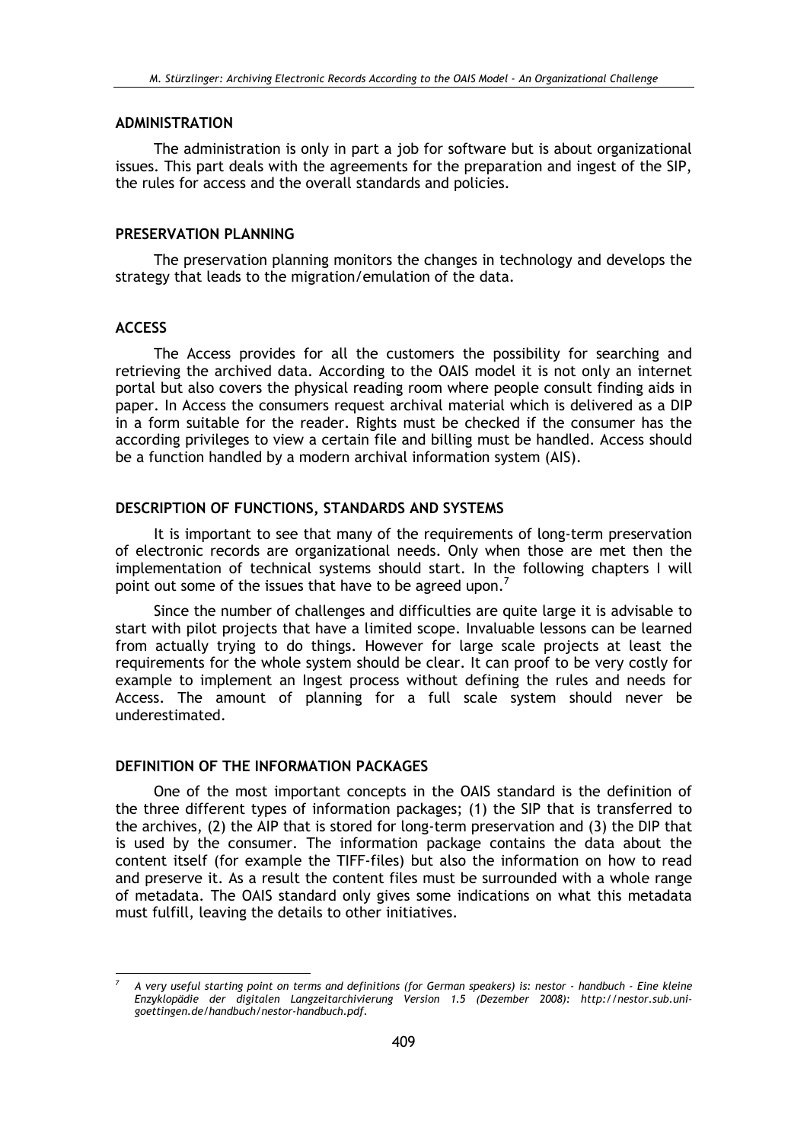#### **ADMINISTRATION**

The administration is only in part a job for software but is about organizational issues. This part deals with the agreements for the preparation and ingest of the SIP, the rules for access and the overall standards and policies.

#### PRESERVATION PLANNING

The preservation planning monitors the changes in technology and develops the strategy that leads to the migration/emulation of the data.

# **ACCESS**

The Access provides for all the customers the possibility for searching and retrieving the archived data. According to the OAIS model it is not only an internet portal but also covers the physical reading room where people consult finding aids in paper. In Access the consumers request archival material which is delivered as a DIP in a form suitable for the reader. Rights must be checked if the consumer has the according privileges to view a certain file and billing must be handled. Access should be a function handled by a modern archival information system (AIS).

#### DESCRIPTION OF FUNCTIONS, STANDARDS AND SYSTEMS

It is important to see that many of the requirements of long-term preservation of electronic records are organizational needs. Only when those are met then the implementation of technical systems should start. In the following chapters I will point out some of the issues that have to be agreed upon.<sup>7</sup>

Since the number of challenges and difficulties are quite large it is advisable to start with pilot projects that have a limited scope. Invaluable lessons can be learned from actually trying to do things. However for large scale projects at least the requirements for the whole system should be clear. It can proof to be very costly for example to implement an Ingest process without defining the rules and needs for Access. The amount of planning for a full scale system should never be underestimated.

# DEFINITION OF THE INFORMATION PACKAGES

One of the most important concepts in the OAIS standard is the definition of the three different types of information packages; (1) the SIP that is transferred to the archives, (2) the AIP that is stored for long-term preservation and (3) the DIP that is used by the consumer. The information package contains the data about the content itself (for example the TIFF-files) but also the information on how to read and preserve it. As a result the content files must be surrounded with a whole range of metadata. The OAIS standard only gives some indications on what this metadata must fulfill, leaving the details to other initiatives.

A very useful starting point on terms and definitions (for German speakers) is: nestor - handbuch - Eine kleine Enzyklopädie der digitalen Langzeitarchivierung Version 1.5 (Dezember 2008): http://nestor.sub.unigoettingen.de/handbuch/nestor-handbuch.pdf.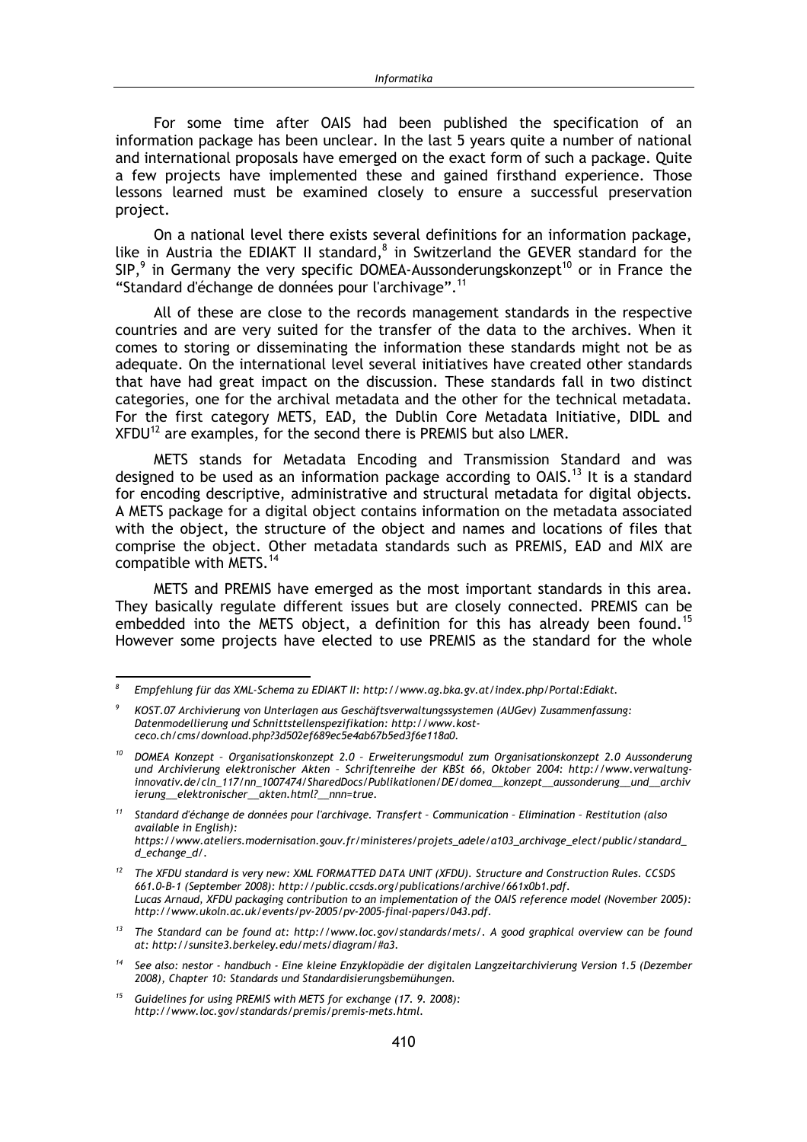For some time after OAIS had been published the specification of an information package has been unclear. In the last 5 years quite a number of national and international proposals have emerged on the exact form of such a package. Ouite a few projects have implemented these and gained firsthand experience. Those lessons learned must be examined closely to ensure a successful preservation project.

On a national level there exists several definitions for an information package, like in Austria the EDIAKT II standard,<sup>8</sup> in Switzerland the GEVER standard for the  $SIP$ , in Germany the very specific DOMEA-Aussonderungskonzept<sup>10</sup> or in France the "Standard d'échange de données pour l'archivage".<sup>11</sup>

All of these are close to the records management standards in the respective countries and are very suited for the transfer of the data to the archives. When it comes to storing or disseminating the information these standards might not be as adequate. On the international level several initiatives have created other standards that have had great impact on the discussion. These standards fall in two distinct categories, one for the archival metadata and the other for the technical metadata. For the first category METS, EAD, the Dublin Core Metadata Initiative, DIDL and XFDU<sup>12</sup> are examples, for the second there is PREMIS but also LMER.

METS stands for Metadata Encoding and Transmission Standard and was designed to be used as an information package according to OAIS.<sup>13</sup> It is a standard for encoding descriptive, administrative and structural metadata for digital objects. A METS package for a digital object contains information on the metadata associated with the object, the structure of the object and names and locations of files that comprise the object. Other metadata standards such as PREMIS, EAD and MIX are compatible with METS.<sup>14</sup>

METS and PREMIS have emerged as the most important standards in this area. They basically regulate different issues but are closely connected. PREMIS can be embedded into the METS object, a definition for this has already been found.<sup>15</sup> However some projects have elected to use PREMIS as the standard for the whole

 $\mathcal{R}$ Empfehlung für das XML-Schema zu EDIAKT II: http://www.ag.bka.gv.at/index.php/Portal:Ediakt.

KOST.07 Archivierung von Unterlagen aus Geschäftsverwaltungssystemen (AUGev) Zusammenfassung: Datenmodellierung und Schnittstellenspezifikation: http://www.kostceco.ch/cms/download.php?3d502ef689ec5e4ab67b5ed3f6e118a0.

<sup>&</sup>lt;sup>10</sup> DOMEA Konzept - Organisationskonzept 2.0 - Erweiterungsmodul zum Organisationskonzept 2.0 Aussonderung und Archivierung elektronischer Akten - Schriftenreihe der KBSt 66, Oktober 2004; http://www.verwaltunginnovativ.de/cln\_117/nn\_1007474/SharedDocs/Publikationen/DE/domea\_konzept\_aussonderung\_und\_archiv ierung\_elektronischer\_akten.html?\_nnn=true.

 $11$ Standard d'échange de données pour l'archivage. Transfert - Communication - Elimination - Restitution (also *available in English):* https://www.ateliers.modernisation.gouv.fr/ministeres/projets\_adele/a103\_archivage\_elect/public/standard  $d$ <sub>echange\_d/</sub>.

<sup>&</sup>lt;sup>12</sup> The XFDU standard is very new: XML FORMATTED DATA UNIT (XFDU). Structure and Construction Rules. CCSDS 661.0-B-1 (September 2008): http://public.ccsds.org/publications/archive/661x0b1.pdf. Lucas Arnaud, XFDU packaging contribution to an implementation of the OAIS reference model (November 2005): http://www.ukoln.ac.uk/events/pv-2005/pv-2005-final-papers/043.pdf.

<sup>&</sup>lt;sup>13</sup> The Standard can be found at: http://www.loc.gov/standards/mets/. A good graphical overview can be found at: http://sunsite3.berkeley.edu/mets/diagram/#a3.

<sup>&</sup>lt;sup>14</sup> See also: nestor - handbuch - Eine kleine Enzyklopädie der digitalen Langzeitarchivierung Version 1.5 (Dezember 2008), Chapter 10: Standards und Standardisierungsbemühungen.

<sup>&</sup>lt;sup>15</sup> Guidelines for using PREMIS with METS for exchange (17. 9. 2008): http://www.loc.gov/standards/premis/premis-mets.html.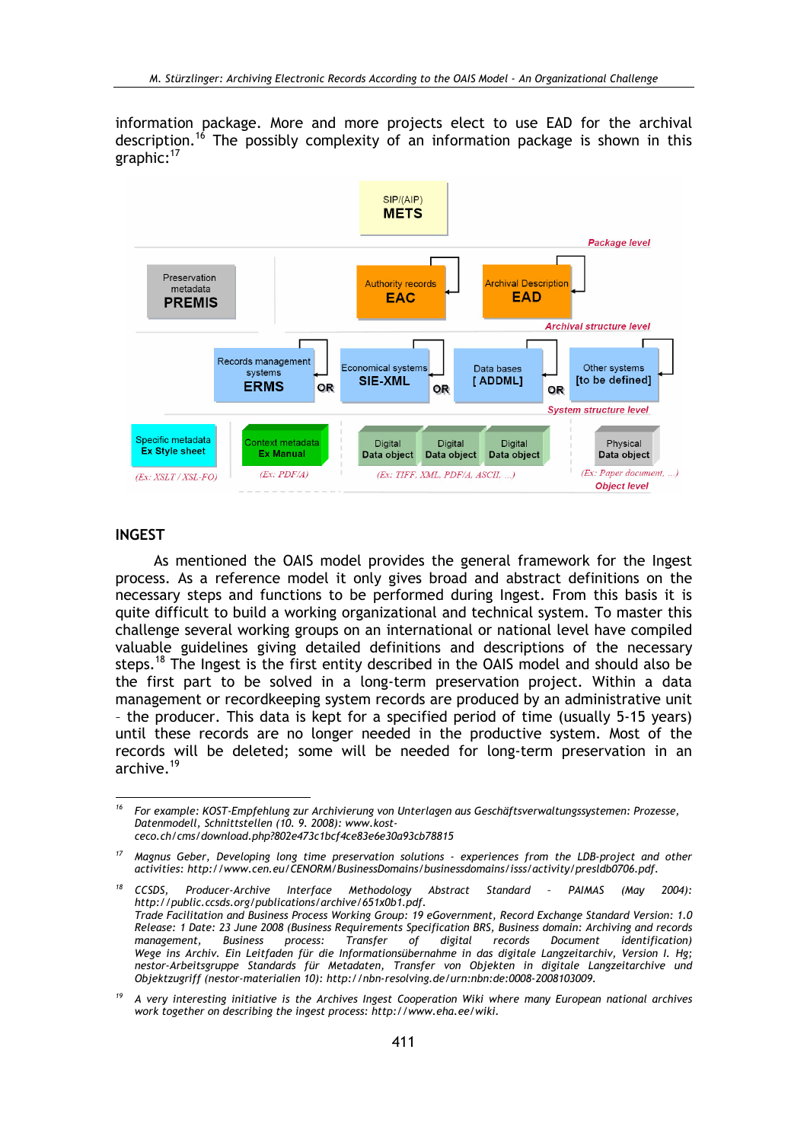information package. More and more projects elect to use EAD for the archival description.<sup>16</sup> The possibly complexity of an information package is shown in this graphic:<sup>17</sup>



#### **INGEST**

As mentioned the OAIS model provides the general framework for the Ingest process. As a reference model it only gives broad and abstract definitions on the necessary steps and functions to be performed during Ingest. From this basis it is quite difficult to build a working organizational and technical system. To master this challenge several working groups on an international or national level have compiled valuable guidelines giving detailed definitions and descriptions of the necessary steps.<sup>18</sup> The Ingest is the first entity described in the OAIS model and should also be the first part to be solved in a long-term preservation project. Within a data management or recordkeeping system records are produced by an administrative unit - the producer. This data is kept for a specified period of time (usually 5-15 years) until these records are no longer needed in the productive system. Most of the records will be deleted; some will be needed for long-term preservation in an archive.<sup>19</sup>

 $16$ For example: KOST-Empfehlung zur Archivierung von Unterlagen aus Geschäftsverwaltungssystemen: Prozesse, Datenmodell, Schnittstellen (10. 9. 2008): www.kostceco.ch/cms/download.php?802e473c1bcf4ce83e6e30a93cb78815

<sup>&</sup>lt;sup>17</sup> Magnus Geber, Developing long time preservation solutions - experiences from the LDB-project and other activities: http://www.cen.eu/CENORM/BusinessDomains/businessdomains/isss/activity/preslab0706.pdf.

 $18$ Abstract Standard CCSDS, Producer-Archive Interface Methodology  $\sim$   $\sim$ PAIMAS (May 2004): http://public.ccsds.org/publications/archive/651x0b1.pdf. Trade Facilitation and Business Process Working Group: 19 eGovernment, Record Exchange Standard Version: 1.0 Release: 1 Date: 23 June 2008 (Business Requirements Specification BRS, Business domain: Archiving and records **Business** process: Transfer  $\dot{c}$ ์ digital records Document management. *identification*) Wege ins Archiv. Ein Leitfaden für die Informationsübernahme in das digitale Langzeitarchiv, Version I. Hg; nestor-Arbeitsgruppe Standards für Metadaten, Transfer von Objekten in digitale Langzeitarchive und Objektzugriff (nestor-materialien 10): http://nbn-resolving.de/urn:nbn:de:0008-2008103009.

<sup>19</sup> A very interesting initiative is the Archives Ingest Cooperation Wiki where many European national archives work together on describing the ingest process: http://www.eha.ee/wiki.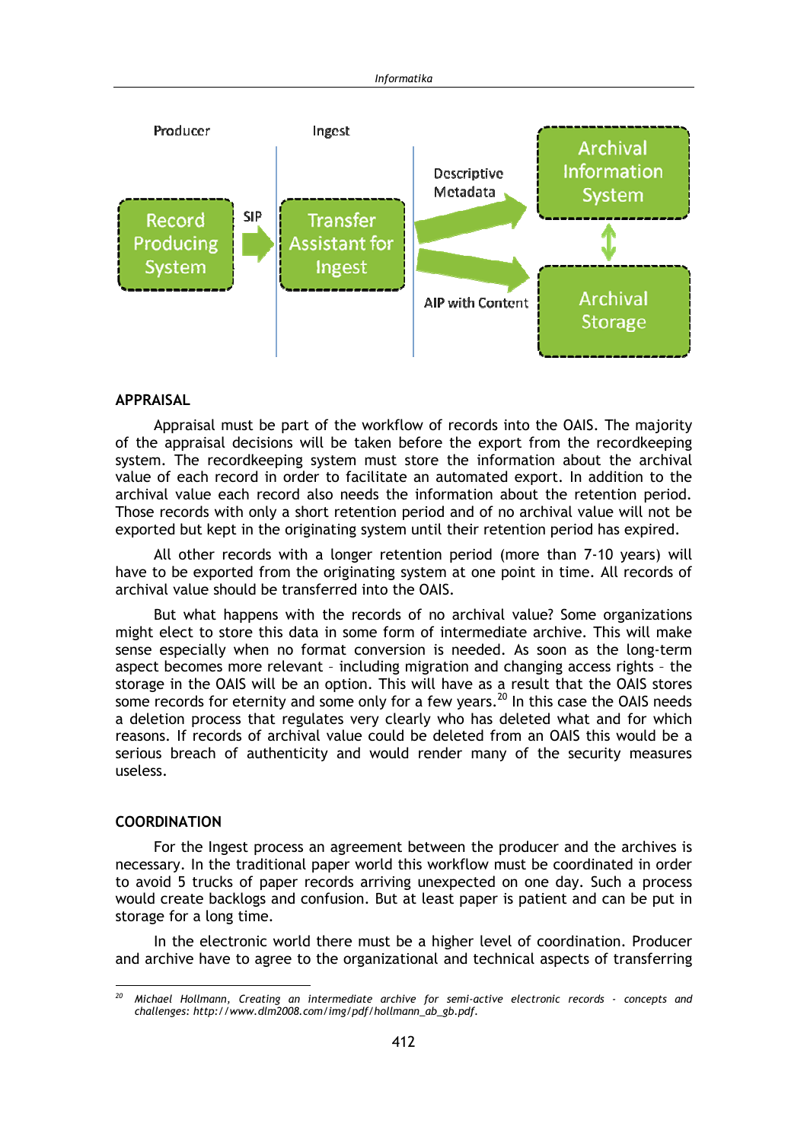

#### **APPRAISAL**

Appraisal must be part of the workflow of records into the OAIS. The majority of the appraisal decisions will be taken before the export from the recordkeeping system. The recordkeeping system must store the information about the archival value of each record in order to facilitate an automated export. In addition to the archival value each record also needs the information about the retention period. Those records with only a short retention period and of no archival value will not be exported but kept in the originating system until their retention period has expired.

All other records with a longer retention period (more than 7-10 years) will have to be exported from the originating system at one point in time. All records of archival value should be transferred into the OAIS.

But what happens with the records of no archival value? Some organizations might elect to store this data in some form of intermediate archive. This will make sense especially when no format conversion is needed. As soon as the long-term aspect becomes more relevant - including migration and changing access rights - the storage in the OAIS will be an option. This will have as a result that the OAIS stores some records for eternity and some only for a few years.<sup>20</sup> In this case the OAIS needs a deletion process that regulates very clearly who has deleted what and for which reasons. If records of archival value could be deleted from an OAIS this would be a serious breach of authenticity and would render many of the security measures useless.

#### **COORDINATION**

For the Ingest process an agreement between the producer and the archives is necessary. In the traditional paper world this workflow must be coordinated in order to avoid 5 trucks of paper records arriving unexpected on one day. Such a process would create backlogs and confusion. But at least paper is patient and can be put in storage for a long time.

In the electronic world there must be a higher level of coordination. Producer and archive have to agree to the organizational and technical aspects of transferring

Michael Hollmann, Creating an intermediate archive for semi-active electronic records - concepts and challenges: http://www.dlm2008.com/img/pdf/hollmann\_ab\_gb.pdf.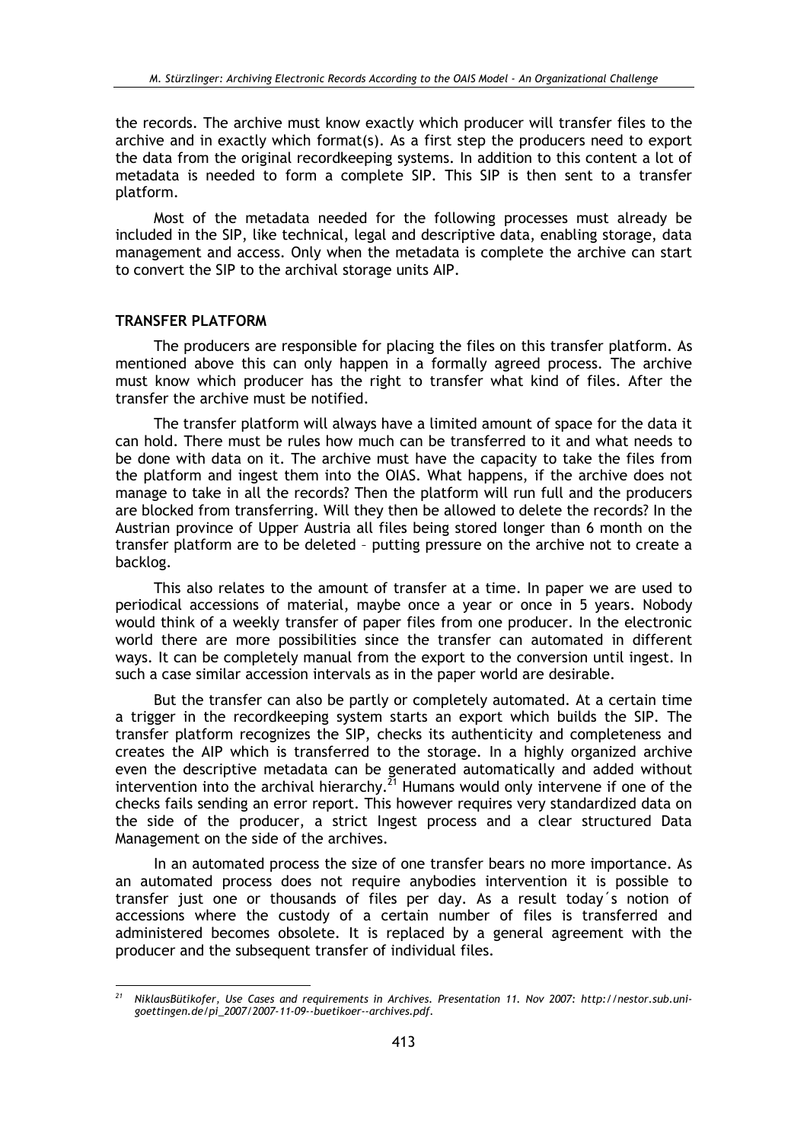the records. The archive must know exactly which producer will transfer files to the archive and in exactly which format(s). As a first step the producers need to export the data from the original recordkeeping systems. In addition to this content a lot of metadata is needed to form a complete SIP. This SIP is then sent to a transfer platform.

Most of the metadata needed for the following processes must already be included in the SIP, like technical, legal and descriptive data, enabling storage, data management and access. Only when the metadata is complete the archive can start to convert the SIP to the archival storage units AIP.

#### **TRANSFER PLATFORM**

The producers are responsible for placing the files on this transfer platform. As mentioned above this can only happen in a formally agreed process. The archive must know which producer has the right to transfer what kind of files. After the transfer the archive must be notified.

The transfer platform will always have a limited amount of space for the data it can hold. There must be rules how much can be transferred to it and what needs to be done with data on it. The archive must have the capacity to take the files from the platform and ingest them into the OIAS. What happens, if the archive does not manage to take in all the records? Then the platform will run full and the producers are blocked from transferring. Will they then be allowed to delete the records? In the Austrian province of Upper Austria all files being stored longer than 6 month on the transfer platform are to be deleted - putting pressure on the archive not to create a backlog.

This also relates to the amount of transfer at a time. In paper we are used to periodical accessions of material, maybe once a year or once in 5 years. Nobody would think of a weekly transfer of paper files from one producer. In the electronic world there are more possibilities since the transfer can automated in different ways. It can be completely manual from the export to the conversion until ingest. In such a case similar accession intervals as in the paper world are desirable.

But the transfer can also be partly or completely automated. At a certain time a trigger in the recordkeeping system starts an export which builds the SIP. The transfer platform recognizes the SIP, checks its authenticity and completeness and creates the AIP which is transferred to the storage. In a highly organized archive even the descriptive metadata can be generated automatically and added without intervention into the archival hierarchy.<sup>21</sup> Humans would only intervene if one of the checks fails sending an error report. This however requires very standardized data on the side of the producer, a strict Ingest process and a clear structured Data Management on the side of the archives.

In an automated process the size of one transfer bears no more importance. As an automated process does not require anybodies intervention it is possible to transfer just one or thousands of files per day. As a result today's notion of accessions where the custody of a certain number of files is transferred and administered becomes obsolete. It is replaced by a general agreement with the producer and the subsequent transfer of individual files.

<sup>&</sup>lt;sup>21</sup> NiklausBütikofer, Use Cases and requirements in Archives. Presentation 11. Nov 2007: http://nestor.sub.unigoettingen.de/pi\_2007/2007-11-09--buetikoer--archives.pdf.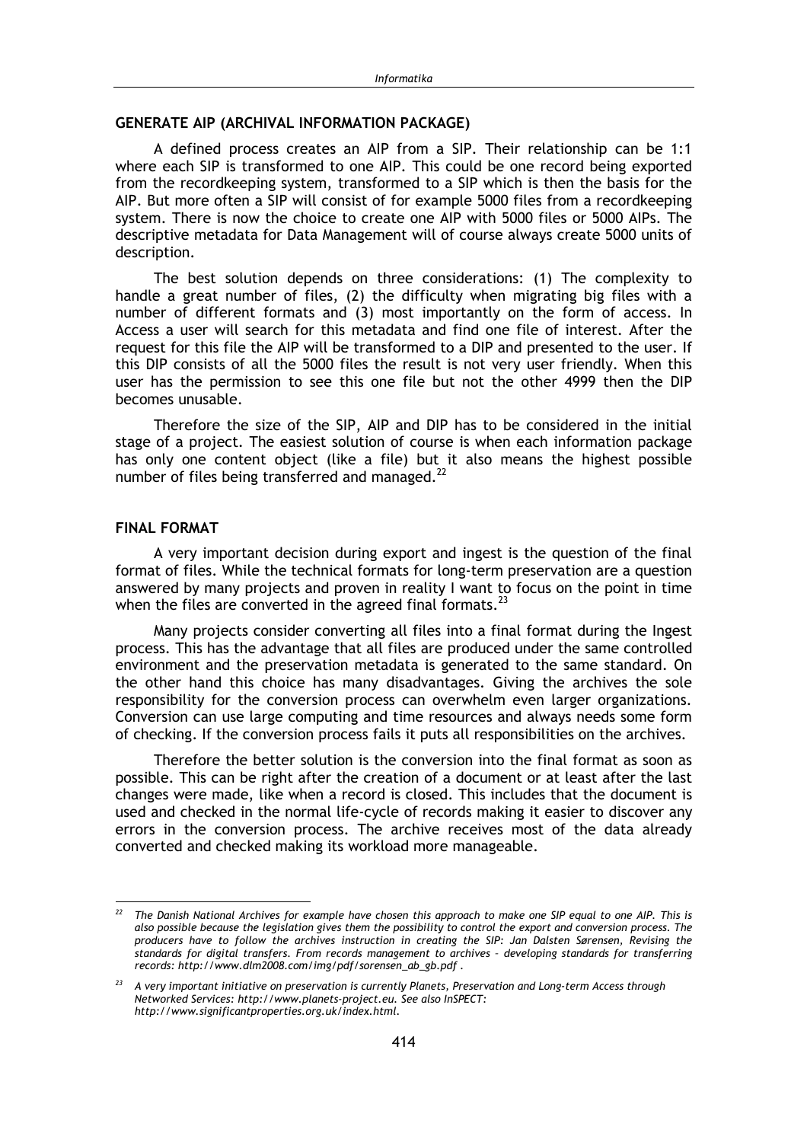# **GENERATE AIP (ARCHIVAL INFORMATION PACKAGE)**

A defined process creates an AIP from a SIP. Their relationship can be 1:1 where each SIP is transformed to one AIP. This could be one record being exported from the recordkeeping system, transformed to a SIP which is then the basis for the AIP. But more often a SIP will consist of for example 5000 files from a recordkeeping system. There is now the choice to create one AIP with 5000 files or 5000 AIPs. The descriptive metadata for Data Management will of course always create 5000 units of description.

The best solution depends on three considerations: (1) The complexity to handle a great number of files, (2) the difficulty when migrating big files with a number of different formats and (3) most importantly on the form of access. In Access a user will search for this metadata and find one file of interest. After the request for this file the AIP will be transformed to a DIP and presented to the user. If this DIP consists of all the 5000 files the result is not very user friendly. When this user has the permission to see this one file but not the other 4999 then the DIP becomes unusable.

Therefore the size of the SIP, AIP and DIP has to be considered in the initial stage of a project. The easiest solution of course is when each information package has only one content object (like a file) but it also means the highest possible number of files being transferred and managed.<sup>22</sup>

# **FINAL FORMAT**

A very important decision during export and ingest is the question of the final format of files. While the technical formats for long-term preservation are a question answered by many projects and proven in reality I want to focus on the point in time when the files are converted in the agreed final formats. $^{23}$ 

Many projects consider converting all files into a final format during the Ingest process. This has the advantage that all files are produced under the same controlled environment and the preservation metadata is generated to the same standard. On the other hand this choice has many disadvantages. Giving the archives the sole responsibility for the conversion process can overwhelm even larger organizations. Conversion can use large computing and time resources and always needs some form of checking. If the conversion process fails it puts all responsibilities on the archives.

Therefore the better solution is the conversion into the final format as soon as possible. This can be right after the creation of a document or at least after the last changes were made, like when a record is closed. This includes that the document is used and checked in the normal life-cycle of records making it easier to discover any errors in the conversion process. The archive receives most of the data already converted and checked making its workload more manageable.

The Danish National Archives for example have chosen this approach to make one SIP equal to one AIP. This is also possible because the legislation gives them the possibility to control the export and conversion process. The producers have to follow the archives instruction in creating the SIP: Jan Dalsten Sørensen, Revising the standards for digital transfers. From records management to archives - developing standards for transferring records: http://www.dlm2008.com/img/pdf/sorensen\_ab\_gb.pdf.

 $23$ A very important initiative on preservation is currently Planets, Preservation and Long-term Access through Networked Services: http://www.planets-project.eu. See also InSPECT: http://www.significantproperties.org.uk/index.html.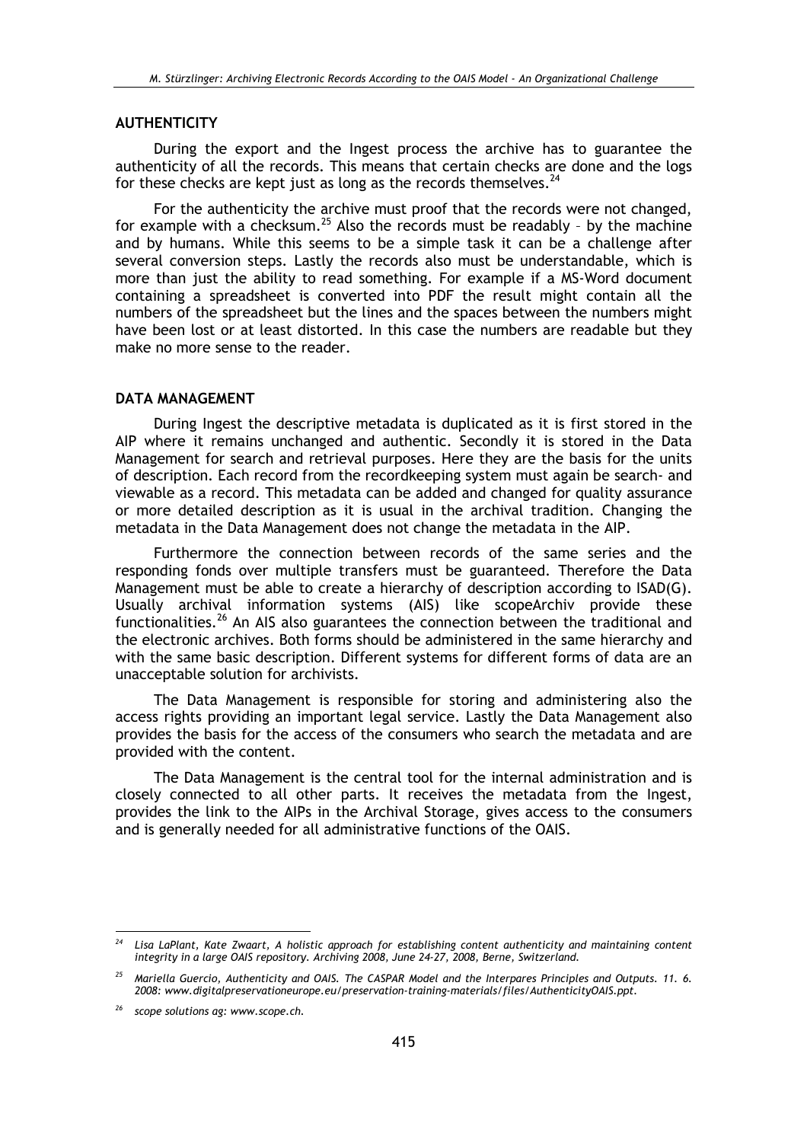#### **AUTHENTICITY**

During the export and the Ingest process the archive has to guarantee the authenticity of all the records. This means that certain checks are done and the logs for these checks are kept just as long as the records themselves.<sup>24</sup>

For the authenticity the archive must proof that the records were not changed, for example with a checksum.<sup>25</sup> Also the records must be readably - by the machine and by humans. While this seems to be a simple task it can be a challenge after several conversion steps. Lastly the records also must be understandable, which is more than just the ability to read something. For example if a MS-Word document containing a spreadsheet is converted into PDF the result might contain all the numbers of the spreadsheet but the lines and the spaces between the numbers might have been lost or at least distorted. In this case the numbers are readable but they make no more sense to the reader.

### **DATA MANAGEMENT**

During Ingest the descriptive metadata is duplicated as it is first stored in the AIP where it remains unchanged and authentic. Secondly it is stored in the Data Management for search and retrieval purposes. Here they are the basis for the units of description. Each record from the recordkeeping system must again be search- and viewable as a record. This metadata can be added and changed for quality assurance or more detailed description as it is usual in the archival tradition. Changing the metadata in the Data Management does not change the metadata in the AIP.

Furthermore the connection between records of the same series and the responding fonds over multiple transfers must be guaranteed. Therefore the Data Management must be able to create a hierarchy of description according to ISAD(G). Usually archival information systems (AIS) like scopeArchiv provide these functionalities.<sup>26</sup> An AIS also guarantees the connection between the traditional and the electronic archives. Both forms should be administered in the same hierarchy and with the same basic description. Different systems for different forms of data are an unacceptable solution for archivists.

The Data Management is responsible for storing and administering also the access rights providing an important legal service. Lastly the Data Management also provides the basis for the access of the consumers who search the metadata and are provided with the content.

The Data Management is the central tool for the internal administration and is closely connected to all other parts. It receives the metadata from the Ingest, provides the link to the AIPs in the Archival Storage, gives access to the consumers and is generally needed for all administrative functions of the OAIS.

Lisa LaPlant, Kate Zwaart, A holistic approach for establishing content authenticity and maintaining content integrity in a large OAIS repository. Archiving 2008, June 24-27, 2008, Berne, Switzerland.

<sup>&</sup>lt;sup>25</sup> Mariella Guercio, Authenticity and OAIS. The CASPAR Model and the Interpares Principles and Outputs. 11. 6. 2008: www.digitalpreservationeurope.eu/preservation-training-materials/files/AuthenticityOAIS.ppt.

<sup>&</sup>lt;sup>26</sup> scope solutions ag: www.scope.ch.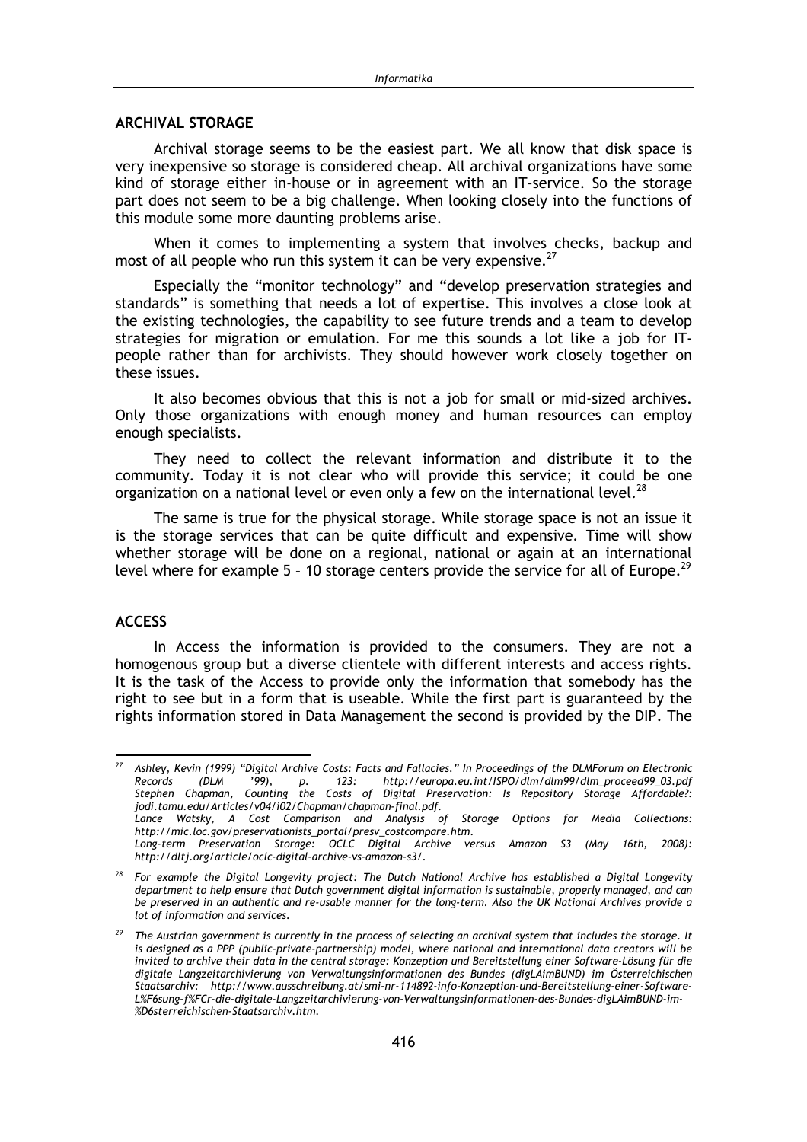#### **ARCHIVAL STORAGE**

Archival storage seems to be the easiest part. We all know that disk space is very inexpensive so storage is considered cheap. All archival organizations have some kind of storage either in-house or in agreement with an IT-service. So the storage part does not seem to be a big challenge. When looking closely into the functions of this module some more daunting problems arise.

When it comes to implementing a system that involves checks, backup and most of all people who run this system it can be very expensive.<sup>27</sup>

Especially the "monitor technology" and "develop preservation strategies and standards" is something that needs a lot of expertise. This involves a close look at the existing technologies, the capability to see future trends and a team to develop strategies for migration or emulation. For me this sounds a lot like a job for ITpeople rather than for archivists. They should however work closely together on these issues.

It also becomes obvious that this is not a job for small or mid-sized archives. Only those organizations with enough money and human resources can employ enough specialists.

They need to collect the relevant information and distribute it to the community. Today it is not clear who will provide this service; it could be one organization on a national level or even only a few on the international level.<sup>28</sup>

The same is true for the physical storage. While storage space is not an issue it is the storage services that can be quite difficult and expensive. Time will show whether storage will be done on a regional, national or again at an international level where for example 5 - 10 storage centers provide the service for all of Europe.<sup>29</sup>

# **ACCESS**

In Access the information is provided to the consumers. They are not a homogenous group but a diverse clientele with different interests and access rights. It is the task of the Access to provide only the information that somebody has the right to see but in a form that is useable. While the first part is guaranteed by the rights information stored in Data Management the second is provided by the DIP. The

 $27$ Ashley, Kevin (1999) "Digital Archive Costs: Facts and Fallacies." In Proceedings of the DLMForum on Electronic Records  $(DLM)$  $123:$ http://europa.eu.int/ISPO/dlm/dlm99/dlm\_proceed99\_03.pdf  $'99.$ D. Stephen Chapman, Counting the Costs of Digital Preservation: Is Repository Storage Affordable?: jodi.tamu.edu/Articles/v04/i02/Chapman/chapman-final.pdf. Lance Watsky, A Cost Comparison and Analysis of Storage Options for Media Collections: http://mic.loc.gov/preservationists\_portal/presv\_costcompare.htm.

Long-term Preservation Storage: OCLC Digital Archive versus Amazon S3 (May 16th, 2008): http://dltj.org/article/oclc-digital-archive-vs-amazon-s3/.

<sup>28</sup> For example the Digital Longevity project: The Dutch National Archive has established a Digital Longevity department to help ensure that Dutch government digital information is sustainable, properly managed, and can be preserved in an authentic and re-usable manner for the long-term. Also the UK National Archives provide a lot of information and services.

<sup>&</sup>lt;sup>29</sup> The Austrian government is currently in the process of selecting an archival system that includes the storage. It is designed as a PPP (public-private-partnership) model, where national and international data creators will be invited to archive their data in the central storage: Konzeption und Bereitstellung einer Software-Lösung für die digitale Langzeitarchivierung von Verwaltungsinformationen des Bundes (digLAimBUND) im Österreichischen Staatsarchiv: http://www.ausschreibung.at/smi-nr-114892-info-Konzeption-und-Bereitstellung-einer-Software-L%F6sung-f%FCr-die-digitale-Langzeitarchivierung-von-Verwaltungsinformationen-des-Bundes-digLAimBUND-im-%D6sterreichischen-Staatsarchiv.htm.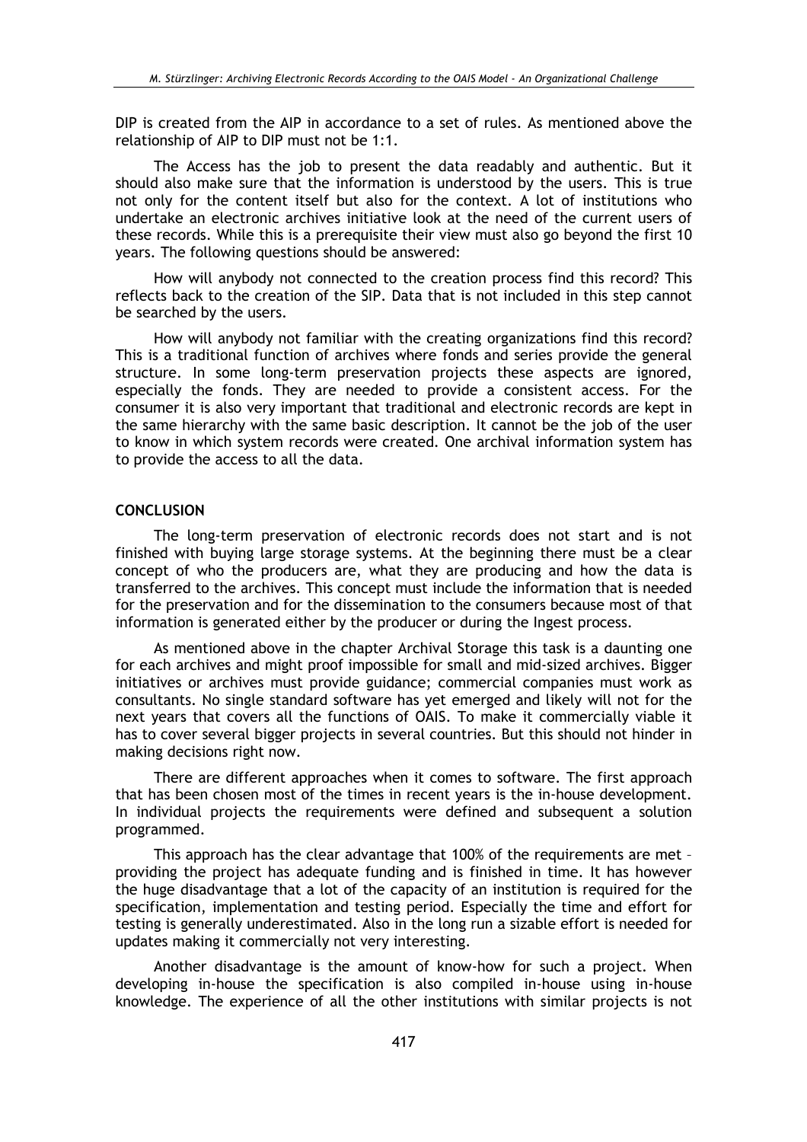DIP is created from the AIP in accordance to a set of rules. As mentioned above the relationship of AIP to DIP must not be 1:1.

The Access has the job to present the data readably and authentic. But it should also make sure that the information is understood by the users. This is true not only for the content itself but also for the context. A lot of institutions who undertake an electronic archives initiative look at the need of the current users of these records. While this is a prerequisite their view must also go bevond the first 10 years. The following questions should be answered:

How will anybody not connected to the creation process find this record? This reflects back to the creation of the SIP. Data that is not included in this step cannot be searched by the users.

How will anybody not familiar with the creating organizations find this record? This is a traditional function of archives where fonds and series provide the general structure. In some long-term preservation projects these aspects are ignored, especially the fonds. They are needed to provide a consistent access. For the consumer it is also very important that traditional and electronic records are kept in the same hierarchy with the same basic description. It cannot be the job of the user to know in which system records were created. One archival information system has to provide the access to all the data.

# **CONCLUSION**

The long-term preservation of electronic records does not start and is not finished with buying large storage systems. At the beginning there must be a clear concept of who the producers are, what they are producing and how the data is transferred to the archives. This concept must include the information that is needed for the preservation and for the dissemination to the consumers because most of that information is generated either by the producer or during the Ingest process.

As mentioned above in the chapter Archival Storage this task is a daunting one for each archives and might proof impossible for small and mid-sized archives. Bigger initiatives or archives must provide guidance; commercial companies must work as consultants. No single standard software has vet emerged and likely will not for the next years that covers all the functions of OAIS. To make it commercially viable it has to cover several bigger projects in several countries. But this should not hinder in making decisions right now.

There are different approaches when it comes to software. The first approach that has been chosen most of the times in recent vears is the in-house development. In individual projects the requirements were defined and subsequent a solution programmed.

This approach has the clear advantage that 100% of the requirements are met providing the project has adequate funding and is finished in time. It has however the huge disadvantage that a lot of the capacity of an institution is required for the specification, implementation and testing period. Especially the time and effort for testing is generally underestimated. Also in the long run a sizable effort is needed for updates making it commercially not very interesting.

Another disadvantage is the amount of know-how for such a project. When developing in-house the specification is also compiled in-house using in-house knowledge. The experience of all the other institutions with similar projects is not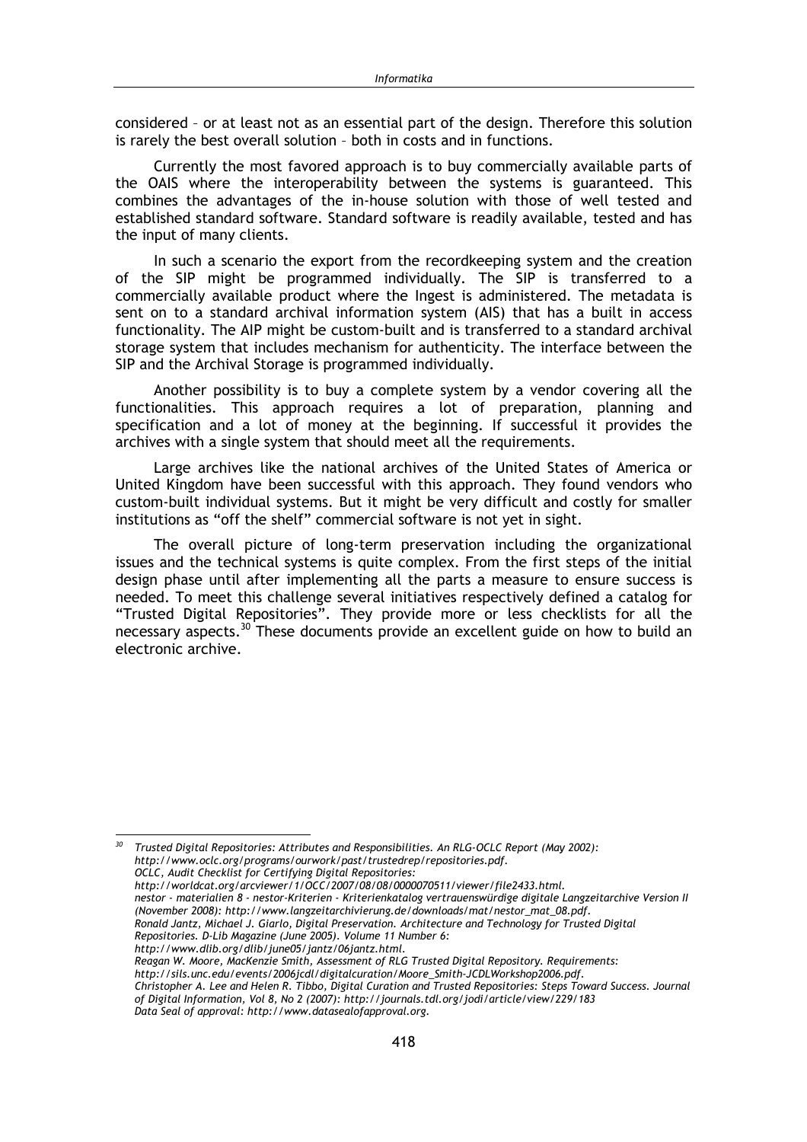considered - or at least not as an essential part of the design. Therefore this solution is rarely the best overall solution - both in costs and in functions.

Currently the most favored approach is to buy commercially available parts of the OAIS where the interoperability between the systems is guaranteed. This combines the advantages of the in-house solution with those of well tested and established standard software. Standard software is readily available, tested and has the input of many clients.

In such a scenario the export from the recordkeeping system and the creation of the SIP might be programmed individually. The SIP is transferred to a commercially available product where the Ingest is administered. The metadata is sent on to a standard archival information system (AIS) that has a built in access functionality. The AIP might be custom-built and is transferred to a standard archival storage system that includes mechanism for authenticity. The interface between the SIP and the Archival Storage is programmed individually.

Another possibility is to buy a complete system by a vendor covering all the functionalities. This approach requires a lot of preparation, planning and specification and a lot of money at the beginning. If successful it provides the archives with a single system that should meet all the requirements.

Large archives like the national archives of the United States of America or United Kingdom have been successful with this approach. They found vendors who custom-built individual systems. But it might be very difficult and costly for smaller institutions as "off the shelf" commercial software is not yet in sight.

The overall picture of long-term preservation including the organizational issues and the technical systems is quite complex. From the first steps of the initial design phase until after implementing all the parts a measure to ensure success is needed. To meet this challenge several initiatives respectively defined a catalog for "Trusted Digital Repositories". They provide more or less checklists for all the necessary aspects.<sup>30</sup> These documents provide an excellent guide on how to build an electronic archive

 $30$  Trusted Digital Repositories: Attributes and Responsibilities. An RLG-OCLC Report (May 2002): http://www.oclc.org/programs/ourwork/past/trustedrep/repositories.pdf. OCLC, Audit Checklist for Certifying Digital Repositories:

http://worldcat.org/arcviewer/1/OCC/2007/08/08/0000070511/viewer/file2433.html. nestor - materialien 8 - nestor-Kriterien - Kriterienkatalog vertrauenswürdige digitale Langzeitarchive Version II (November 2008): http://www.langzeitarchivierung.de/downloads/mat/nestor\_mat\_08.pdf. Ronald Jantz, Michael J. Giarlo, Digital Preservation. Architecture and Technology for Trusted Digital

Repositories. D-Lib Magazine (June 2005). Volume 11 Number 6:

http://www.dlib.org/dlib/june05/jantz/06jantz.html.

Reagan W. Moore, MacKenzie Smith, Assessment of RLG Trusted Digital Repository. Requirements:

http://sils.unc.edu/events/2006jcdl/digitalcuration/Moore\_Smith-JCDLWorkshop2006.pdf.

Christopher A. Lee and Helen R. Tibbo, Digital Curation and Trusted Repositories: Steps Toward Success. Journal of Digital Information, Vol 8, No 2 (2007): http://journals.tdl.org/jodi/article/view/229/183

Data Seal of approval: http://www.datasealofapproval.org.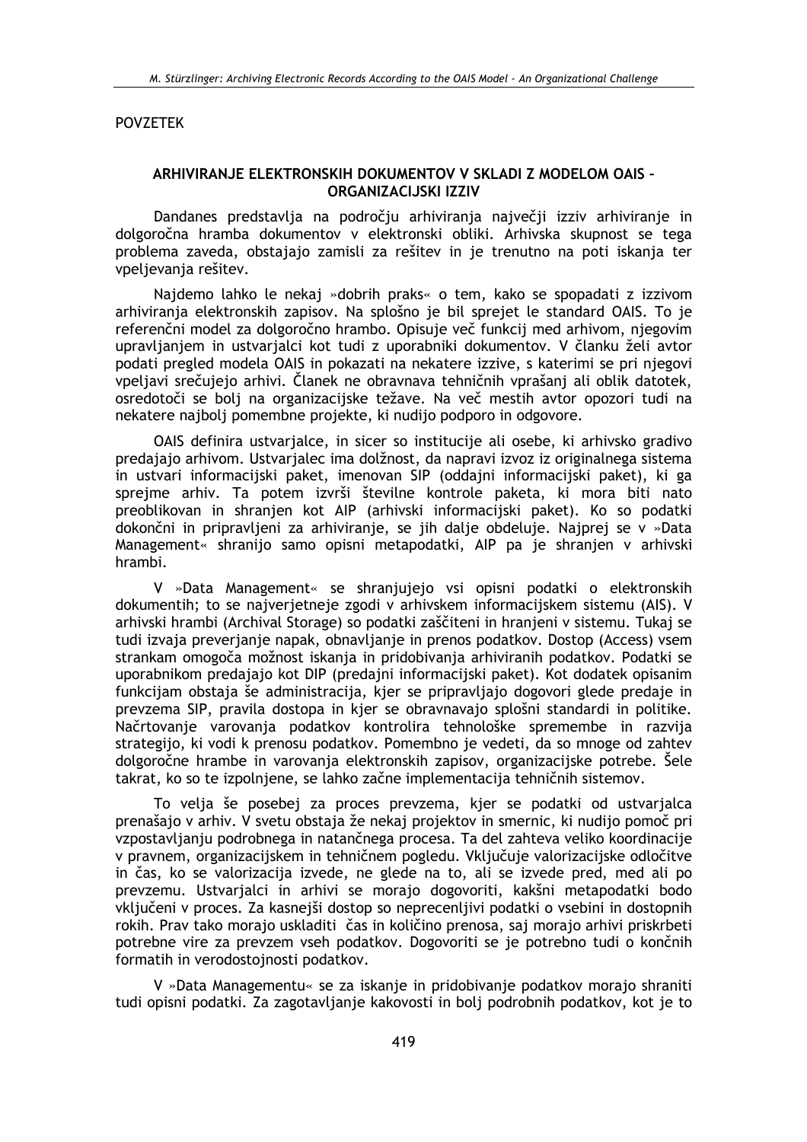#### **POVZETEK**

# ARHIVIRANJE ELEKTRONSKIH DOKUMENTOV V SKLADI Z MODELOM OAIS -**ORGANIZACIJSKI IZZIV**

Dandanes predstavlja na področju arhiviranja največji izziv arhiviranje in dolgoročna hramba dokumentov v elektronski obliki. Arhivska skupnost se tega problema zaveda, obstajajo zamisli za rešitev in je trenutno na poti iskanja ter vpeljevanja rešitev.

Najdemo lahko le nekaj »dobrih praks« o tem, kako se spopadati z izzivom arhiviranja elektronskih zapisov. Na splošno je bil sprejet le standard OAIS. To je referenčni model za dolgoročno hrambo. Opisuje več funkcij med arhivom, njegovim upravljanjem in ustvarjalci kot tudi z uporabniki dokumentov. V članku želi avtor podati pregled modela OAIS in pokazati na nekatere izzive, s katerimi se pri njegovi vpeljavi srečujejo arhivi. Članek ne obravnava tehničnih vprašanj ali oblik datotek, osredotoči se bolj na organizacijske težave. Na več mestih avtor opozori tudi na nekatere najbolj pomembne projekte, ki nudijo podporo in odgovore.

OAIS definira ustvarjalce, in sicer so institucije ali osebe, ki arhivsko gradivo predajajo arhivom. Ustvarjalec ima dolžnost, da napravi izvoz iz originalnega sistema in ustvari informacijski paket, imenovan SIP (oddajni informacijski paket), ki ga sprejme arhiv. Ta potem izvrši številne kontrole paketa, ki mora biti nato preoblikovan in shranjen kot AIP (arhivski informacijski paket). Ko so podatki dokončni in pripravljeni za arhiviranje, se jih dalje obdeluje. Najprej se v »Data Management« shranijo samo opisni metapodatki, AIP pa je shranjen v arhivski hrambi.

V »Data Management« se shranjujejo vsi opisni podatki o elektronskih dokumentih: to se najverjetneje zgodi v arhivskem informacijskem sistemu (AIS). V arhivski hrambi (Archival Storage) so podatki zaščiteni in hranjeni v sistemu. Tukaj se tudi izvaja preverjanje napak, obnavljanje in prenos podatkov. Dostop (Access) vsem strankam omogoča možnost iskanja in pridobivanja arhiviranih podatkov. Podatki se uporabnikom predajajo kot DIP (predajni informacijski paket). Kot dodatek opisanim funkcijam obstaja še administracija, kjer se pripravljajo dogovori glede predaje in prevzema SIP, pravila dostopa in kjer se obravnavajo splošni standardi in politike. Načrtovanie varovania podatkov kontrolira tehnološke spremembe in razvija strategijo, ki vodi k prenosu podatkov. Pomembno je vedeti, da so mnoge od zahtev dolgoročne hrambe in varovanja elektronskih zapisov, organizacijske potrebe. Sele takrat, ko so te izpolnjene, se lahko začne implementacija tehničnih sistemov.

To velja še posebej za proces prevzema, kjer se podatki od ustvarjalca prenašajo v arhiv. V svetu obstaja že nekaj projektov in smernic, ki nudijo pomoč pri vzpostavljanju podrobnega in natančnega procesa. Ta del zahteva veliko koordinacije v pravnem, organizacijskem in tehničnem pogledu. Vključuje valorizacijske odločitve in čas, ko se valorizacija izvede, ne glede na to, ali se izvede pred, med ali po prevzemu. Ustvarjalci in arhivi se morajo dogovoriti, kakšni metapodatki bodo vključeni v proces. Za kasnejši dostop so neprecenljivi podatki o vsebini in dostopnih rokih. Prav tako morajo uskladiti čas in količino prenosa, saj morajo arhivi priskrbeti potrebne vire za prevzem vseh podatkov. Dogovoriti se je potrebno tudi o končnih formatih in verodostojnosti podatkov.

V »Data Managementu« se za iskanje in pridobivanje podatkov morajo shraniti tudi opisni podatki. Za zagotavljanje kakovosti in bolj podrobnih podatkov, kot je to